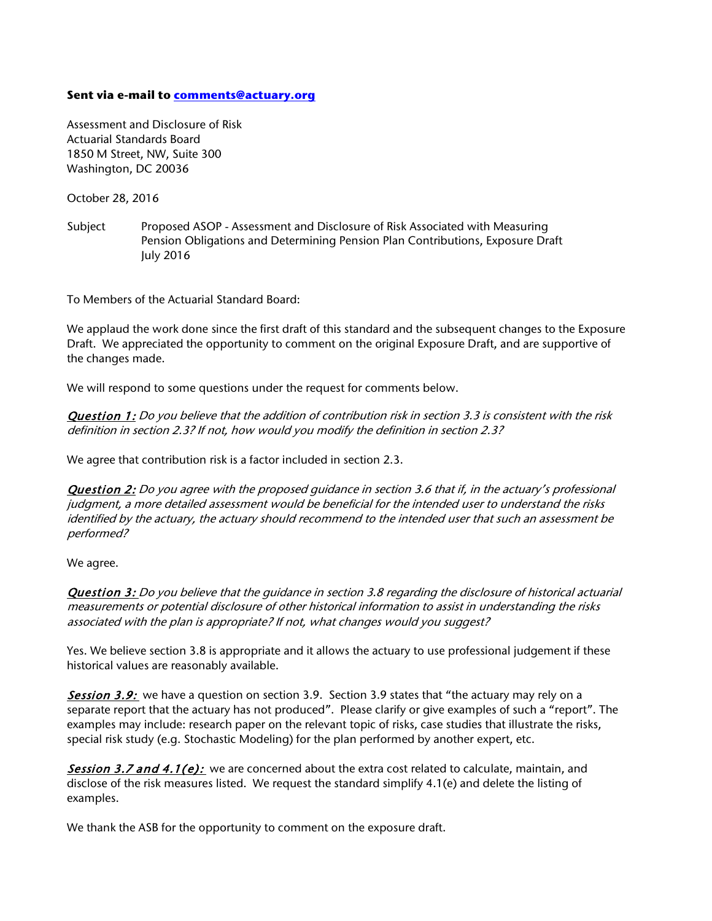## **Sent via e-mail to [comments@actuary.org](mailto:comments@actuary.org)**

Assessment and Disclosure of Risk Actuarial Standards Board 1850 M Street, NW, Suite 300 Washington, DC 20036

October 28, 2016

Subject Proposed ASOP - Assessment and Disclosure of Risk Associated with Measuring Pension Obligations and Determining Pension Plan Contributions, Exposure Draft July 2016

To Members of the Actuarial Standard Board:

We applaud the work done since the first draft of this standard and the subsequent changes to the Exposure Draft. We appreciated the opportunity to comment on the original Exposure Draft, and are supportive of the changes made.

We will respond to some questions under the request for comments below.

Question 1: Do you believe that the addition of contribution risk in section 3.3 is consistent with the risk definition in section 2.3? If not, how would you modify the definition in section 2.3?

We agree that contribution risk is a factor included in section 2.3.

Question 2: Do you agree with the proposed guidance in section 3.6 that if, in the actuary's professional judgment, a more detailed assessment would be beneficial for the intended user to understand the risks identified by the actuary, the actuary should recommend to the intended user that such an assessment be performed?

We agree.

Question 3: Do you believe that the quidance in section 3.8 regarding the disclosure of historical actuarial measurements or potential disclosure of other historical information to assist in understanding the risks associated with the plan is appropriate? If not, what changes would you suggest?

Yes. We believe section 3.8 is appropriate and it allows the actuary to use professional judgement if these historical values are reasonably available.

**Session 3.9:** we have a question on section 3.9. Section 3.9 states that "the actuary may rely on a separate report that the actuary has not produced". Please clarify or give examples of such a "report". The examples may include: research paper on the relevant topic of risks, case studies that illustrate the risks, special risk study (e.g. Stochastic Modeling) for the plan performed by another expert, etc.

**Session 3.7 and 4.1(e):** we are concerned about the extra cost related to calculate, maintain, and disclose of the risk measures listed. We request the standard simplify 4.1(e) and delete the listing of examples.

We thank the ASB for the opportunity to comment on the exposure draft.